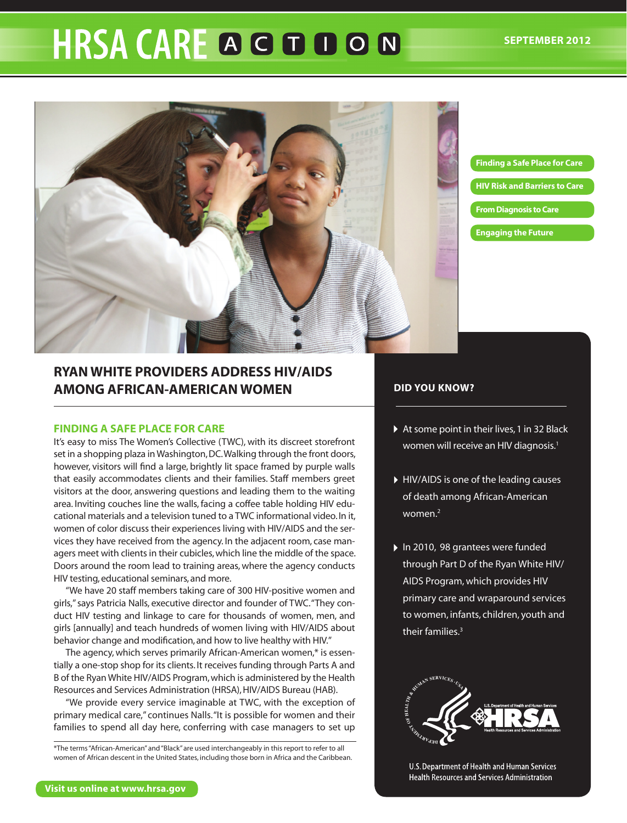# **HRSA CARE A G D D O N**



**Finding a Safe Place for Care HIV Risk and Barriers to Care From Diagnosis to Care Engaging the Future**

## **RYAN WHITE PROVIDERS ADDRESS HIV/AIDS AMONG AFRICAN-AMERICAN WOMEN**

#### **FINDING A SAFE PLACE FOR CARE**

It's easy to miss The Women's Collective (TWC), with its discreet storefront set in a shopping plaza in Washington, DC. Walking through the front doors, however, visitors will find a large, brightly lit space framed by purple walls that easily accommodates clients and their families. Staff members greet visitors at the door, answering questions and leading them to the waiting area. Inviting couches line the walls, facing a coffee table holding HIV educational materials and a television tuned to a TWC informational video. In it, women of color discuss their experiences living with HIV/AIDS and the services they have received from the agency. In the adjacent room, case managers meet with clients in their cubicles, which line the middle of the space. Doors around the room lead to training areas, where the agency conducts HIV testing, educational seminars, and more.

"We have 20 staff members taking care of 300 HIV-positive women and girls," says Patricia Nalls, executive director and founder of TWC. "They conduct HIV testing and linkage to care for thousands of women, men, and girls [annually] and teach hundreds of women living with HIV/AIDS about behavior change and modification, and how to live healthy with HIV."

The agency, which serves primarily African-American women,\* is essentially a one-stop shop for its clients. It receives funding through Parts A and B of the Ryan White HIV/AIDS Program, which is administered by the Health Resources and Services Administration (HRSA), HIV/AIDS Bureau (HAB).

"We provide every service imaginable at TWC, with the exception of primary medical care," continues Nalls. "It is possible for women and their families to spend all day here, conferring with case managers to set up

\*The terms "African-American" and "Black" are used interchangeably in this report to refer to all women of African descent in the United States, including those born in Africa and the Caribbean.

## **DID YOU KNOW?**

- At some point in their lives, 1 in 32 Black women will receive an HIV diagnosis.<sup>1</sup>
- HIV/AIDS is one of the leading causes of death among African-American women.<sup>2</sup>
- In 2010, 98 grantees were funded through Part D of the Ryan White HIV/ AIDS Program, which provides HIV primary care and wraparound services to women, infants, children, youth and their families.<sup>3</sup>



U.S. Department of Health and Human Services **Health Resources and Services Administration**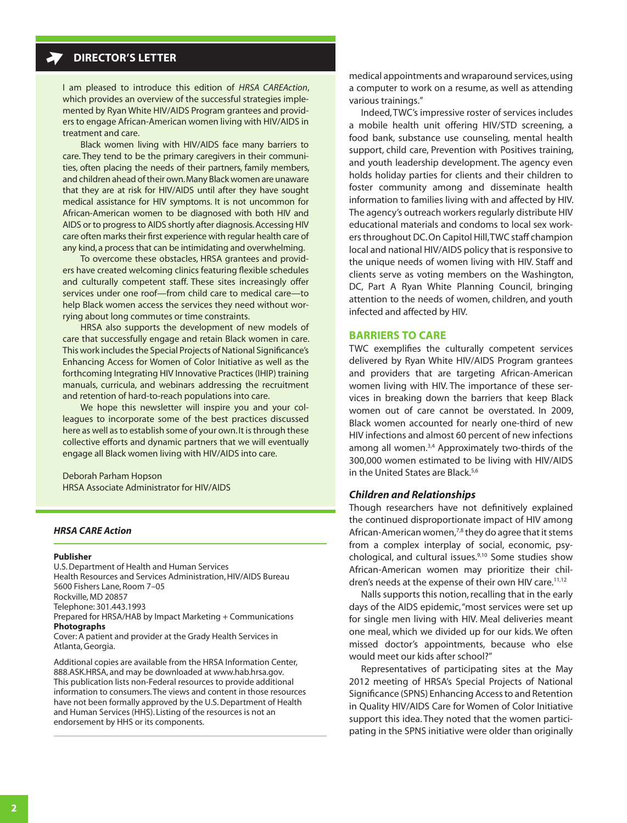## **DIRECTOR'S LETTER**

I am pleased to introduce this edition of *HRSA CAREAction*, which provides an overview of the successful strategies implemented by Ryan White HIV/AIDS Program grantees and providers to engage African-American women living with HIV/AIDS in treatment and care.

Black women living with HIV/AIDS face many barriers to care. They tend to be the primary caregivers in their communities, often placing the needs of their partners, family members, and children ahead of their own. Many Black women are unaware that they are at risk for HIV/AIDS until after they have sought medical assistance for HIV symptoms. It is not uncommon for African-American women to be diagnosed with both HIV and AIDS or to progress to AIDS shortly after diagnosis. Accessing HIV care often marks their first experience with regular health care of any kind, a process that can be intimidating and overwhelming.

To overcome these obstacles, HRSA grantees and providers have created welcoming clinics featuring flexible schedules and culturally competent staff. These sites increasingly offer services under one roof—from child care to medical care—to help Black women access the services they need without worrying about long commutes or time constraints.

HRSA also supports the development of new models of care that successfully engage and retain Black women in care. This work includes the Special Projects of National Significance's Enhancing Access for Women of Color Initiative as well as the forthcoming Integrating HIV Innovative Practices (IHIP) training manuals, curricula, and webinars addressing the recruitment and retention of hard-to-reach populations into care.

We hope this newsletter will inspire you and your colleagues to incorporate some of the best practices discussed here as well as to establish some of your own. It is through these collective efforts and dynamic partners that we will eventually engage all Black women living with HIV/AIDS into care.

Deborah Parham Hopson HRSA Associate Administrator for HIV/AIDS

#### *HRSA CARE Action*

#### **Publisher**

U.S. Department of Health and Human Services Health Resources and Services Administration, HIV/AIDS Bureau 5600 Fishers Lane, Room 7–05 Rockville, MD 20857 Telephone: 301.443.1993 Prepared for HRSA/HAB by Impact Marketing + Communications **Photographs**

Cover: A patient and provider at the Grady Health Services in Atlanta, Georgia.

Additional copies are available from the HRSA Information Center, 888.ASK.HRSA, and may be downloaded at [www.hab.hrsa.gov.](http://www.hab.hrsa.gov/) This publication lists non-Federal resources to provide additional information to consumers. The views and content in those resources have not been formally approved by the U.S. Department of Health and Human Services (HHS). Listing of the resources is not an endorsement by HHS or its components.

medical appointments and wraparound services, using a computer to work on a resume, as well as attending various trainings."

Indeed, TWC's impressive roster of services includes a mobile health unit offering HIV/STD screening, a food bank, substance use counseling, mental health support, child care, Prevention with Positives training, and youth leadership development. The agency even holds holiday parties for clients and their children to foster community among and disseminate health information to families living with and affected by HIV. The agency's outreach workers regularly distribute HIV educational materials and condoms to local sex workers throughout DC. On Capitol Hill, TWC staff champion local and national HIV/AIDS policy that is responsive to the unique needs of women living with HIV. Staff and clients serve as voting members on the Washington, DC, Part A Ryan White Planning Council, bringing attention to the needs of women, children, and youth infected and affected by HIV.

#### **BARRIERS TO CARE**

TWC exemplifies the culturally competent services delivered by Ryan White HIV/AIDS Program grantees and providers that are targeting African-American women living with HIV. The importance of these services in breaking down the barriers that keep Black women out of care cannot be overstated. In 2009, Black women accounted for nearly one-third of new HIV infections and almost 60 percent of new infections among all women.3,4 Approximately two-thirds of the 300,000 women estimated to be living with HIV/AIDS in the United States are Black.<sup>5,6</sup>

#### *Children and Relationships*

Though researchers have not definitively explained the continued disproportionate impact of HIV among African-American women,<sup>7,8</sup> they do agree that it stems from a complex interplay of social, economic, psychological, and cultural issues.<sup>9,10</sup> Some studies show African-American women may prioritize their children's needs at the expense of their own HIV care.<sup>11,12</sup>

Nalls supports this notion, recalling that in the early days of the AIDS epidemic, "most services were set up for single men living with HIV. Meal deliveries meant one meal, which we divided up for our kids. We often missed doctor's appointments, because who else would meet our kids after school?"

Representatives of participating sites at the May 2012 meeting of HRSA's Special Projects of National Significance (SPNS) Enhancing Access to and Retention in Quality HIV/AIDS Care for Women of Color Initiative support this idea. They noted that the women participating in the SPNS initiative were older than originally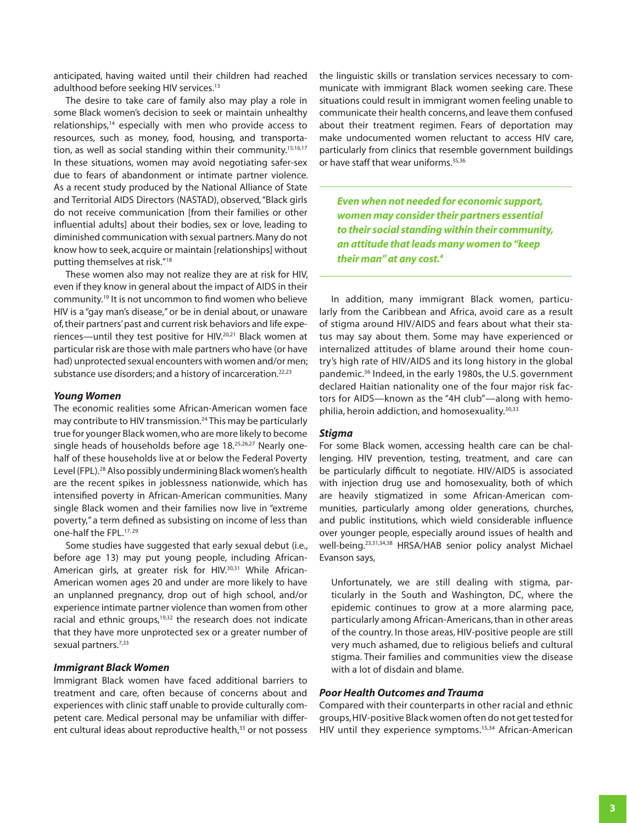anticipated, having waited until their children had reached adulthood before seeking HIV services.<sup>13</sup>

The desire to take care of family also may play a role in some Black women's decision to seek or maintain unhealthy relationships,<sup>14</sup> especially with men who provide access to resources, such as money, food, housing, and transportation, as well as social standing within their community.<sup>15,16,17</sup> In these situations, women may avoid negotiating safer-sex due to fears of abandonment or intimate partner violence. As a recent study produced by the National Alliance of State and Territorial AIDS Directors (NASTAD), observed, "Black girls do not receive communication [from their families or other influential adults] about their bodies, sex or love, leading to diminished communication with sexual partners. Many do not know how to seek, acquire or maintain [relationships] without putting themselves at risk."18

These women also may not realize they are at risk for HIV, even if they know in general about the impact of AIDS in their community.19 It is not uncommon to find women who believe HIV is a "gay man's disease," or be in denial about, or unaware of, their partners' past and current risk behaviors and life experiences—until they test positive for HIV.<sup>20,21</sup> Black women at particular risk are those with male partners who have (or have had) unprotected sexual encounters with women and/or men; substance use disorders; and a history of incarceration.<sup>22,23</sup>

#### *Young Women*

The economic realities some African-American women face may contribute to HIV transmission.<sup>24</sup> This may be particularly true for younger Black women, who are more likely to become single heads of households before age 18.<sup>25,26,27</sup> Nearly onehalf of these households live at or below the Federal Poverty Level (FPL).<sup>28</sup> Also possibly undermining Black women's health are the recent spikes in joblessness nationwide, which has intensified poverty in African-American communities. Many single Black women and their families now live in "extreme poverty," a term defined as subsisting on income of less than one-half the FPL.<sup>17,29</sup>

Some studies have suggested that early sexual debut (i.e., before age 13) may put young people, including African-American girls, at greater risk for HIV.<sup>30,31</sup> While African-American women ages 20 and under are more likely to have an unplanned pregnancy, drop out of high school, and/or experience intimate partner violence than women from other racial and ethnic groups,<sup>19,32</sup> the research does not indicate that they have more unprotected sex or a greater number of sexual partners.<sup>7,33</sup>

#### *Immigrant Black Women*

Immigrant Black women have faced additional barriers to treatment and care, often because of concerns about and experiences with clinic staff unable to provide culturally competent care. Medical personal may be unfamiliar with different cultural ideas about reproductive health,<sup>33</sup> or not possess

the linguistic skills or translation services necessary to communicate with immigrant Black women seeking care. These situations could result in immigrant women feeling unable to communicate their health concerns, and leave them confused about their treatment regimen. Fears of deportation may make undocumented women reluctant to access HIV care, particularly from clinics that resemble government buildings or have staff that wear uniforms.<sup>35,36</sup>

*Even when not needed for economic support, women may consider their partners essential to their social standing within their community, an attitude that leads many women to "keep their man" at any cost.4*

In addition, many immigrant Black women, particularly from the Caribbean and Africa, avoid care as a result of stigma around HIV/AIDS and fears about what their status may say about them. Some may have experienced or internalized attitudes of blame around their home country's high rate of HIV/AIDS and its long history in the global pandemic.36 Indeed, in the early 1980s, the U.S. government declared Haitian nationality one of the four major risk factors for AIDS—known as the "4H club"—along with hemophilia, heroin addiction, and homosexuality.30,33

#### *Stigma*

For some Black women, accessing health care can be challenging. HIV prevention, testing, treatment, and care can be particularly difficult to negotiate. HIV/AIDS is associated with injection drug use and homosexuality, both of which are heavily stigmatized in some African-American communities, particularly among older generations, churches, and public institutions, which wield considerable influence over younger people, especially around issues of health and well-being.23,31,34,38 HRSA/HAB senior policy analyst Michael Evanson says,

Unfortunately, we are still dealing with stigma, particularly in the South and Washington, DC, where the epidemic continues to grow at a more alarming pace, particularly among African-Americans, than in other areas of the country. In those areas, HIV-positive people are still very much ashamed, due to religious beliefs and cultural stigma. Their families and communities view the disease with a lot of disdain and blame.

#### *Poor Health Outcomes and Trauma*

Compared with their counterparts in other racial and ethnic groups, HIV-positive Black women often do not get tested for HIV until they experience symptoms.<sup>15,34</sup> African-American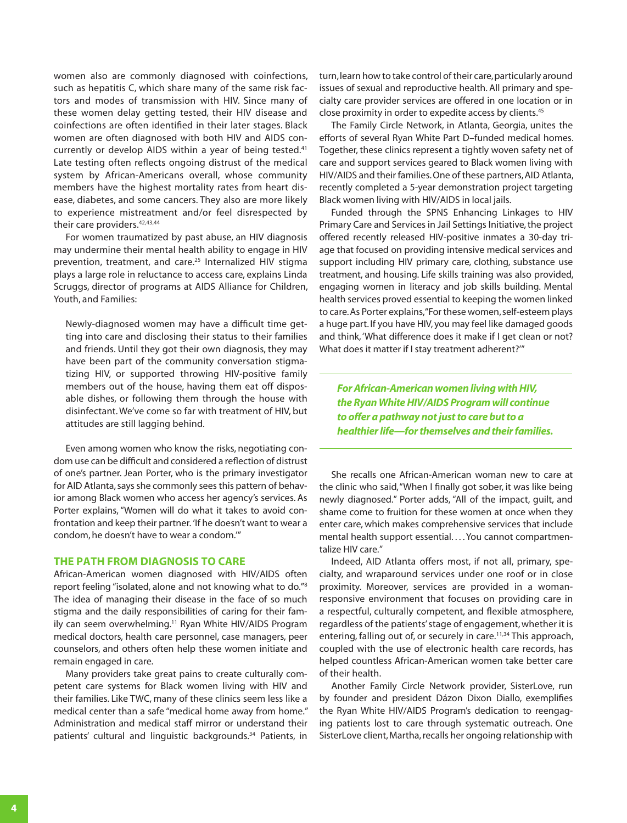women also are commonly diagnosed with coinfections, such as hepatitis C, which share many of the same risk factors and modes of transmission with HIV. Since many of these women delay getting tested, their HIV disease and coinfections are often identified in their later stages. Black women are often diagnosed with both HIV and AIDS concurrently or develop AIDS within a year of being tested.<sup>41</sup> Late testing often reflects ongoing distrust of the medical system by African-Americans overall, whose community members have the highest mortality rates from heart disease, diabetes, and some cancers. They also are more likely to experience mistreatment and/or feel disrespected by their care providers.<sup>42,43,44</sup>

For women traumatized by past abuse, an HIV diagnosis may undermine their mental health ability to engage in HIV prevention, treatment, and care.<sup>25</sup> Internalized HIV stigma plays a large role in reluctance to access care, explains Linda Scruggs, director of programs at AIDS Alliance for Children, Youth, and Families:

Newly-diagnosed women may have a difficult time getting into care and disclosing their status to their families and friends. Until they got their own diagnosis, they may have been part of the community conversation stigmatizing HIV, or supported throwing HIV-positive family members out of the house, having them eat off disposable dishes, or following them through the house with disinfectant. We've come so far with treatment of HIV, but attitudes are still lagging behind.

Even among women who know the risks, negotiating condom use can be difficult and considered a reflection of distrust of one's partner. Jean Porter, who is the primary investigator for AID Atlanta, says she commonly sees this pattern of behavior among Black women who access her agency's services. As Porter explains, "Women will do what it takes to avoid confrontation and keep their partner. 'If he doesn't want to wear a condom, he doesn't have to wear a condom.'"

#### **THE PATH FROM DIAGNOSIS TO CARE**

African-American women diagnosed with HIV/AIDS often report feeling "isolated, alone and not knowing what to do."8 The idea of managing their disease in the face of so much stigma and the daily responsibilities of caring for their family can seem overwhelming.<sup>11</sup> Ryan White HIV/AIDS Program medical doctors, health care personnel, case managers, peer counselors, and others often help these women initiate and remain engaged in care.

Many providers take great pains to create culturally competent care systems for Black women living with HIV and their families. Like TWC, many of these clinics seem less like a medical center than a safe "medical home away from home." Administration and medical staff mirror or understand their patients' cultural and linguistic backgrounds.<sup>34</sup> Patients, in

turn, learn how to take control of their care, particularly around issues of sexual and reproductive health. All primary and specialty care provider services are offered in one location or in close proximity in order to expedite access by clients.45

The Family Circle Network, in Atlanta, Georgia, unites the efforts of several Ryan White Part D–funded medical homes. Together, these clinics represent a tightly woven safety net of care and support services geared to Black women living with HIV/AIDS and their families. One of these partners, AID Atlanta, recently completed a 5-year demonstration project targeting Black women living with HIV/AIDS in local jails.

Funded through the SPNS Enhancing Linkages to HIV Primary Care and Services in Jail Settings Initiative, the project offered recently released HIV-positive inmates a 30-day triage that focused on providing intensive medical services and support including HIV primary care, clothing, substance use treatment, and housing. Life skills training was also provided, engaging women in literacy and job skills building. Mental health services proved essential to keeping the women linked to care. As Porter explains, "For these women, self-esteem plays a huge part. If you have HIV, you may feel like damaged goods and think, 'What difference does it make if I get clean or not? What does it matter if I stay treatment adherent?'"

*For African-American women living with HIV, the Ryan White HIV/AIDS Program will continue to offer a pathway not just to care but to a healthier life—for themselves and their families.*

She recalls one African-American woman new to care at the clinic who said, "When I finally got sober, it was like being newly diagnosed." Porter adds, "All of the impact, guilt, and shame come to fruition for these women at once when they enter care, which makes comprehensive services that include mental health support essential.... You cannot compartmentalize HIV care."

Indeed, AID Atlanta offers most, if not all, primary, specialty, and wraparound services under one roof or in close proximity. Moreover, services are provided in a womanresponsive environment that focuses on providing care in a respectful, culturally competent, and flexible atmosphere, regardless of the patients' stage of engagement, whether it is entering, falling out of, or securely in care.<sup>11,34</sup> This approach, coupled with the use of electronic health care records, has helped countless African-American women take better care of their health.

Another Family Circle Network provider, SisterLove, run by founder and president Dázon Dixon Diallo, exemplifies the Ryan White HIV/AIDS Program's dedication to reengaging patients lost to care through systematic outreach. One SisterLove client, Martha, recalls her ongoing relationship with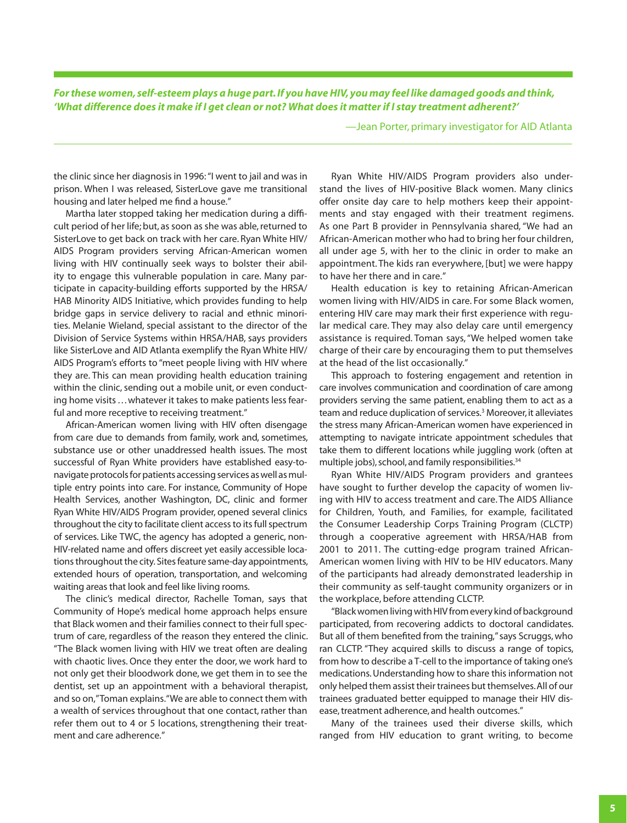*For these women, self-esteem plays a huge part. If you have HIV, you may feel like damaged goods and think, 'What difference does it make if I get clean or not? What does it matter if I stay treatment adherent?'* 

—Jean Porter, primary investigator for AID Atlanta

the clinic since her diagnosis in 1996: "I went to jail and was in prison. When I was released, SisterLove gave me transitional housing and later helped me find a house."

Martha later stopped taking her medication during a difficult period of her life; but, as soon as she was able, returned to SisterLove to get back on track with her care. Ryan White HIV/ AIDS Program providers serving African-American women living with HIV continually seek ways to bolster their ability to engage this vulnerable population in care. Many participate in capacity-building efforts supported by the HRSA/ HAB Minority AIDS Initiative, which provides funding to help bridge gaps in service delivery to racial and ethnic minorities. Melanie Wieland, special assistant to the director of the Division of Service Systems within HRSA/HAB, says providers like SisterLove and AID Atlanta exemplify the Ryan White HIV/ AIDS Program's efforts to "meet people living with HIV where they are. This can mean providing health education training within the clinic, sending out a mobile unit, or even conducting home visits . . . whatever it takes to make patients less fearful and more receptive to receiving treatment."

African-American women living with HIV often disengage from care due to demands from family, work and, sometimes, substance use or other unaddressed health issues. The most successful of Ryan White providers have established easy-tonavigate protocols for patients accessing services as well as multiple entry points into care. For instance, Community of Hope Health Services, another Washington, DC, clinic and former Ryan White HIV/AIDS Program provider, opened several clinics throughout the city to facilitate client access to its full spectrum of services. Like TWC, the agency has adopted a generic, non-HIV-related name and offers discreet yet easily accessible locations throughout the city. Sites feature same-day appointments, extended hours of operation, transportation, and welcoming waiting areas that look and feel like living rooms.

The clinic's medical director, Rachelle Toman, says that Community of Hope's medical home approach helps ensure that Black women and their families connect to their full spectrum of care, regardless of the reason they entered the clinic. "The Black women living with HIV we treat often are dealing with chaotic lives. Once they enter the door, we work hard to not only get their bloodwork done, we get them in to see the dentist, set up an appointment with a behavioral therapist, and so on," Toman explains. "We are able to connect them with a wealth of services throughout that one contact, rather than refer them out to 4 or 5 locations, strengthening their treatment and care adherence."

Ryan White HIV/AIDS Program providers also understand the lives of HIV-positive Black women. Many clinics offer onsite day care to help mothers keep their appointments and stay engaged with their treatment regimens. As one Part B provider in Pennsylvania shared, "We had an African-American mother who had to bring her four children, all under age 5, with her to the clinic in order to make an appointment. The kids ran everywhere, [but] we were happy to have her there and in care."

Health education is key to retaining African-American women living with HIV/AIDS in care. For some Black women, entering HIV care may mark their first experience with regular medical care. They may also delay care until emergency assistance is required. Toman says, "We helped women take charge of their care by encouraging them to put themselves at the head of the list occasionally."

This approach to fostering engagement and retention in care involves communication and coordination of care among providers serving the same patient, enabling them to act as a team and reduce duplication of services.<sup>3</sup> Moreover, it alleviates the stress many African-American women have experienced in attempting to navigate intricate appointment schedules that take them to different locations while juggling work (often at multiple jobs), school, and family responsibilities.<sup>34</sup>

Ryan White HIV/AIDS Program providers and grantees have sought to further develop the capacity of women living with HIV to access treatment and care. The AIDS Alliance for Children, Youth, and Families, for example, facilitated the Consumer Leadership Corps Training Program (CLCTP) through a cooperative agreement with HRSA/HAB from 2001 to 2011. The cutting-edge program trained African-American women living with HIV to be HIV educators. Many of the participants had already demonstrated leadership in their community as self-taught community organizers or in the workplace, before attending CLCTP.

"Black women living with HIV from every kind of background participated, from recovering addicts to doctoral candidates. But all of them benefited from the training," says Scruggs, who ran CLCTP. "They acquired skills to discuss a range of topics, from how to describe a T-cell to the importance of taking one's medications. Understanding how to share this information not only helped them assist their trainees but themselves. All of our trainees graduated better equipped to manage their HIV disease, treatment adherence, and health outcomes."

Many of the trainees used their diverse skills, which ranged from HIV education to grant writing, to become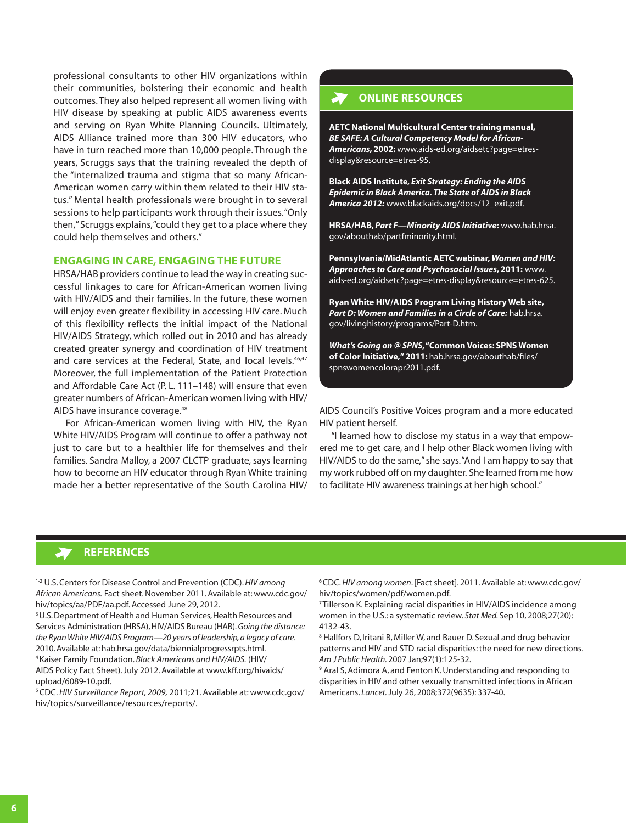professional consultants to other HIV organizations within their communities, bolstering their economic and health outcomes. They also helped represent all women living with HIV disease by speaking at public AIDS awareness events and serving on Ryan White Planning Councils. Ultimately, AIDS Alliance trained more than 300 HIV educators, who have in turn reached more than 10,000 people. Through the years, Scruggs says that the training revealed the depth of the "internalized trauma and stigma that so many African-American women carry within them related to their HIV status." Mental health professionals were brought in to several sessions to help participants work through their issues. "Only then," Scruggs explains, "could they get to a place where they could help themselves and others."

#### **ENGAGING IN CARE, ENGAGING THE FUTURE**

HRSA/HAB providers continue to lead the way in creating successful linkages to care for African-American women living with HIV/AIDS and their families. In the future, these women will enjoy even greater flexibility in accessing HIV care. Much of this flexibility reflects the initial impact of the National HIV/AIDS Strategy, which rolled out in 2010 and has already created greater synergy and coordination of HIV treatment and care services at the Federal, State, and local levels.<sup>46,47</sup> Moreover, the full implementation of the Patient Protection and Affordable Care Act (P. L. 111–148) will ensure that even greater numbers of African-American women living with HIV/ AIDS have insurance coverage.<sup>48</sup>

For African-American women living with HIV, the Ryan White HIV/AIDS Program will continue to offer a pathway not just to care but to a healthier life for themselves and their families. Sandra Malloy, a 2007 CLCTP graduate, says learning how to become an HIV educator through Ryan White training made her a better representative of the South Carolina HIV/

### **ONLINE RESOURCES**

**AETC National Multicultural Center training manual,**  *BE SAFE: A Cultural Competency Model for African-Americans***, 2002:** [www.aids-ed.org/aidsetc?page=etres](http://www.aids-ed.org/aidsetc?page=etres-display&resource=etres-95)[display&resource=etres-95.](http://www.aids-ed.org/aidsetc?page=etres-display&resource=etres-95)

**Black AIDS Institute,** *Exit Strategy: Ending the AIDS Epidemic in Black America. The State of AIDS in Black America 2012:* [www.blackaids.org/docs/12\\_exit.pdf](http://www.blackaids.org/docs/12_exit.pdf).

**HRSA/HAB,** *Part F—Minority AIDS Initiative***:** [www.hab.hrsa.](http://www.hab.hrsa.gov/abouthab/partfminority.html) [gov/abouthab/partfminority.html](http://www.hab.hrsa.gov/abouthab/partfminority.html).

**Pennsylvania/MidAtlantic AETC webinar,** *Women and HIV: Approaches to Care and Psychosocial Issues***, 2011:** [www.](http://www.aids-ed.org/aidsetc?page=etres-display&resource=etres-625) [aids-ed.org/aidsetc?page=etres-display&resource=etres-625](http://www.aids-ed.org/aidsetc?page=etres-display&resource=etres-625).

**Ryan White HIV/AIDS Program Living History Web site,**  *Part D: Women and Families in a Circle of Care:* [hab.hrsa.](http://hab.hrsa.gov/livinghistory/programs/Part-D.htm) [gov/livinghistory/programs/Part-D.htm](http://hab.hrsa.gov/livinghistory/programs/Part-D.htm).

*What's Going on @ SPNS***, "Common Voices: SPNS Women of Color Initiative," 2011:** [hab.hrsa.gov/abouthab/files/](http://hab.hrsa.gov/abouthab/files/spnswomencolorapr2011.pdf) [spnswomencolorapr2011.pdf.](http://hab.hrsa.gov/abouthab/files/spnswomencolorapr2011.pdf)

AIDS Council's Positive Voices program and a more educated HIV patient herself.

"I learned how to disclose my status in a way that empowered me to get care, and I help other Black women living with HIV/AIDS to do the same," she says. "And I am happy to say that my work rubbed off on my daughter. She learned from me how to facilitate HIV awareness trainings at her high school."

#### **REFERENCES**

1-2 U.S. Centers for Disease Control and Prevention (CDC). *HIV among African Americans.* Fact sheet. November 2011. Available at: [www.cdc.gov/](http://www.cdc.gov/hiv/topics/aa/PDF/aa.pdf) [hiv/topics/aa/PDF/aa.pdf](http://www.cdc.gov/hiv/topics/aa/PDF/aa.pdf). Accessed June 29, 2012.

<sup>3</sup> U.S. Department of Health and Human Services, Health Resources and Services Administration (HRSA), HIV/AIDS Bureau (HAB). *Going the distance: the Ryan White HIV/AIDS Program—20 years of leadership, a legacy of care*. 2010. Available at: [hab.hrsa.gov/data/biennialprogressrpts.html.](http://hab.hrsa.gov/data/biennialprogressrpts.html) 4 Kaiser Family Foundation. *Black Americans and HIV/AIDS.* (HIV/ AIDS Policy Fact Sheet). July 2012. Available at [www.kff.org/hivaids/](http://www.kff.org/hivaids/upload/6089-10.pdf) [upload/6089-10.pdf](http://www.kff.org/hivaids/upload/6089-10.pdf).

5 CDC. *HIV Surveillance Report, 2009,* 2011;21. Available at: [www.cdc.gov/](http://www.cdc.gov/hiv/topics/surveillance/resources/reports/) [hiv/topics/surveillance/resources/reports/.](http://www.cdc.gov/hiv/topics/surveillance/resources/reports/)

6 CDC. *HIV among women*. [Fact sheet]. 2011. Available at: [www.cdc.gov/](www.cdc.gov/hiv/topics/women/pdf/women.pdf) [hiv/topics/women/pdf/women.pdf](www.cdc.gov/hiv/topics/women/pdf/women.pdf).

7 Tillerson K. Explaining racial disparities in HIV/AIDS incidence among women in the U.S.: a systematic review. *Stat Med.* Sep 10, 2008;27(20): 4132-43.

8 Hallfors D, Iritani B, Miller W, and Bauer D. Sexual and drug behavior patterns and HIV and STD racial disparities: the need for new directions. *Am J Public Health.* 2007 Jan;97(1):125-32.

9 Aral S, Adimora A, and Fenton K. Understanding and responding to disparities in HIV and other sexually transmitted infections in African Americans. *Lancet.* July 26, 2008;372(9635): 337-40.